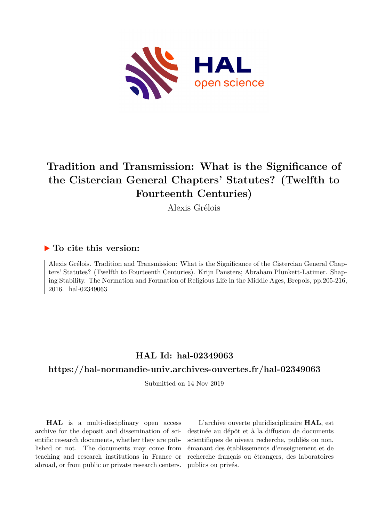

# **Tradition and Transmission: What is the Significance of the Cistercian General Chapters' Statutes? (Twelfth to Fourteenth Centuries)**

Alexis Grélois

### **To cite this version:**

Alexis Grélois. Tradition and Transmission: What is the Significance of the Cistercian General Chapters' Statutes? (Twelfth to Fourteenth Centuries). Krijn Pansters; Abraham Plunkett-Latimer. Shaping Stability. The Normation and Formation of Religious Life in the Middle Ages, Brepols, pp.205-216, 2016. hal-02349063

## **HAL Id: hal-02349063**

### **<https://hal-normandie-univ.archives-ouvertes.fr/hal-02349063>**

Submitted on 14 Nov 2019

**HAL** is a multi-disciplinary open access archive for the deposit and dissemination of scientific research documents, whether they are published or not. The documents may come from teaching and research institutions in France or abroad, or from public or private research centers.

L'archive ouverte pluridisciplinaire **HAL**, est destinée au dépôt et à la diffusion de documents scientifiques de niveau recherche, publiés ou non, émanant des établissements d'enseignement et de recherche français ou étrangers, des laboratoires publics ou privés.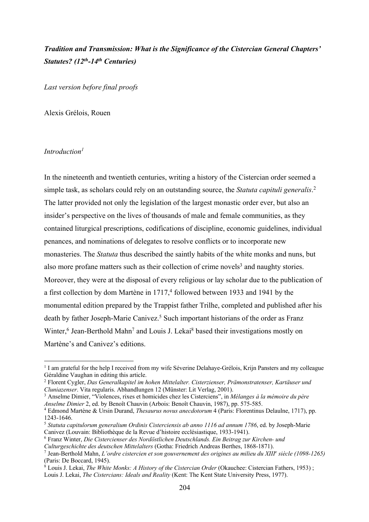### *Tradition and Transmission: What is the Significance of the Cistercian General Chapters' Statutes? (12th-14th Centuries)*

*Last version before final proofs*

Alexis Grélois, Rouen

### *Introduction1*

In the nineteenth and twentieth centuries, writing a history of the Cistercian order seemed a simple task, as scholars could rely on an outstanding source, the *Statuta capituli generalis*. 2 The latter provided not only the legislation of the largest monastic order ever, but also an insider's perspective on the lives of thousands of male and female communities, as they contained liturgical prescriptions, codifications of discipline, economic guidelines, individual penances, and nominations of delegates to resolve conflicts or to incorporate new monasteries. The *Statuta* thus described the saintly habits of the white monks and nuns, but also more profane matters such as their collection of crime novels<sup>3</sup> and naughty stories. Moreover, they were at the disposal of every religious or lay scholar due to the publication of a first collection by dom Martène in  $1717<sup>4</sup>$  followed between 1933 and 1941 by the monumental edition prepared by the Trappist father Trilhe, completed and published after his death by father Joseph-Marie Canivez.<sup>5</sup> Such important historians of the order as Franz Winter,<sup>6</sup> Jean-Berthold Mahn<sup>7</sup> and Louis J. Lekai<sup>8</sup> based their investigations mostly on Martène's and Canivez's editions.

<sup>3</sup> Anselme Dimier, "Violences, rixes et homicides chez les Cisterciens", in *Mélanges à la mémoire du père Anselme Dimier* 2, ed. by Benoît Chauvin (Arbois: Benoît Chauvin, 1987), pp. 575-585.

<sup>8</sup> Louis J. Lekai, *The White Monks: A History of the Cistercian Order* (Okauchee: Cistercian Fathers, 1953) ; Louis J. Lekai, *The Cistercians: Ideals and Reality* (Kent: The Kent State University Press, 1977).

<sup>&</sup>lt;sup>1</sup> I am grateful for the help I received from my wife Séverine Delahaye-Grélois, Krijn Pansters and my colleague Géraldine Vaughan in editing this article.

<sup>2</sup> Florent Cygler, *Das Generalkapitel im hohen Mittelalter. Cisterzienser, Prämonstratenser, Kartäuser und Cluniazenser*. Vita regularis. Abhandlungen 12 (Münster: Lit Verlag, 2001).

<sup>4</sup> Edmond Martène & Ursin Durand, *Thesaurus novus anecdotorum* 4 (Paris: Florentinus Delaulne, 1717), pp. 1243-1646.

<sup>5</sup> *Statuta capitulorum generalium Ordinis Cisterciensis ab anno 1116 ad annum 1786*, ed. by Joseph-Marie Canivez (Louvain: Bibliothèque de la Revue d'histoire ecclésiastique, 1933-1941).

<sup>6</sup> Franz Winter, *Die Cistercienser des Nordöstlichen Deutschlands. Ein Beitrag zur Kirchen- und* 

*Culturgeschichte des deutschen Mittelalters* (Gotha: Friedrich Andreas Berthes, 1868-1871).

<sup>7</sup> Jean-Berthold Mahn, *L'ordre cistercien et son gouvernement des origines au milieu du XIIIe siècle (1098-1265)* (Paris: De Boccard, 1945).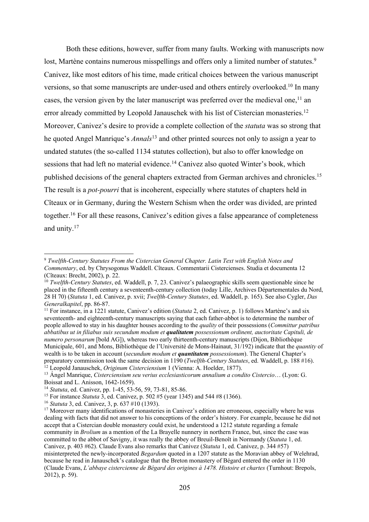Both these editions, however, suffer from many faults. Working with manuscripts now lost, Martène contains numerous misspellings and offers only a limited number of statutes.<sup>9</sup> Canivez, like most editors of his time, made critical choices between the various manuscript versions, so that some manuscripts are under-used and others entirely overlooked.10 In many cases, the version given by the later manuscript was preferred over the medieval one,<sup>11</sup> an error already committed by Leopold Janauschek with his list of Cistercian monasteries.<sup>12</sup> Moreover, Canivez's desire to provide a complete collection of the *statuta* was so strong that he quoted Angel Manrique's *Annals*<sup>13</sup> and other printed sources not only to assign a year to undated statutes (the so-called 1134 statutes collection), but also to offer knowledge on sessions that had left no material evidence.<sup>14</sup> Canivez also quoted Winter's book, which published decisions of the general chapters extracted from German archives and chronicles.<sup>15</sup> The result is a *pot-pourri* that is incoherent, especially where statutes of chapters held in Cîteaux or in Germany, during the Western Schism when the order was divided, are printed together.<sup>16</sup> For all these reasons, Canivez's edition gives a false appearance of completeness and unity.17

<sup>9</sup> *Twelfth-Century Statutes From the Cistercian General Chapter. Latin Text with English Notes and Commentary*, ed. by Chrysogonus Waddell. Cîteaux. Commentarii Cistercienses. Studia et documenta 12 (Cîteaux: Brecht, 2002), p. 22.

<sup>10</sup> *Twelfth-Century Statutes*, ed. Waddell, p. 7, 23. Canivez's palaeographic skills seem questionable since he placed in the fifteenth century a seventeenth-century collection (today Lille, Archives Départementales du Nord, 28 H 70) (*Statuta* 1, ed. Canivez, p. xvii; *Twelfth-Century Statutes*, ed. Waddell, p. 165). See also Cygler, *Das Generalkapitel*, pp. 86-87.

<sup>&</sup>lt;sup>11</sup> For instance, in a 1221 statute, Canivez's edition (*Statuta* 2, ed. Canivez, p. 1) follows Martène's and six seventeenth- and eighteenth-century manuscripts saying that each father-abbot is to determine the number of people allowed to stay in his daughter houses according to the *quality* of their possessions (*Committur patribus abbatibus ut in filiabus suis secundum modum et qualitatem possessionum ordinent, auctoritate Capituli, de numero personarum* [bold AG]), whereas two early thirteenth-century manuscripts (Dijon, Bibliothèque Municipale, 601, and Mons, Bibliothèque de l'Université de Mons-Hainaut, 31/192) indicate that the *quantity* of wealth is to be taken in account (*secundum modum et quantitatem possessionum*). The General Chapter's preparatory commission took the same decision in 1190 (*Twelfth-Century Statutes*, ed. Waddell, p. 188 #16). <sup>12</sup> Leopold Janauschek, *Originum Cisterciensium* 1 (Vienna: A. Hoelder, 1877).

<sup>13</sup> Ángel Manrique, *Cisterciensium seu verius ecclesiasticorum annalium a condito Cistercio*… (Lyon: G. Boissat and L. Anisson, 1642-1659).

<sup>14</sup> *Statuta*, ed. Canivez, pp. 1-45, 53-56, 59, 73-81, 85-86.

<sup>15</sup> For instance *Statuta* 3, ed. Canivez, p. 502 #5 (year 1345) and 544 #8 (1366).

<sup>16</sup> *Statuta* 3, ed. Canivez, 3, p. 637 #10 (1393).

<sup>&</sup>lt;sup>17</sup> Moreover many identifications of monasteries in Canivez's edition are erroneous, especially where he was dealing with facts that did not answer to his conceptions of the order's history. For example, because he did not accept that a Cistercian double monastery could exist, he understood a 1212 statute regarding a female community in *Brolium* as a mention of the La Brayelle nunnery in northern France, but, since the case was committed to the abbot of Savigny, it was really the abbey of Breuil-Benoît in Normandy (*Statuta* 1, ed. Canivez, p. 403 #62). Claude Evans also remarks that Canivez (*Statuta* 1, ed. Canivez, p. 344 #57) misinterpreted the newly-incorporated *Begardum* quoted in a 1207 statute as the Moravian abbey of Welehrad, because he read in Janauschek's catalogue that the Breton monastery of Bégard entered the order in 1130 (Claude Evans, *L'abbaye cistercienne de Bégard des origines à 1478. Histoire et chartes* (Turnhout: Brepols, 2012), p. 59).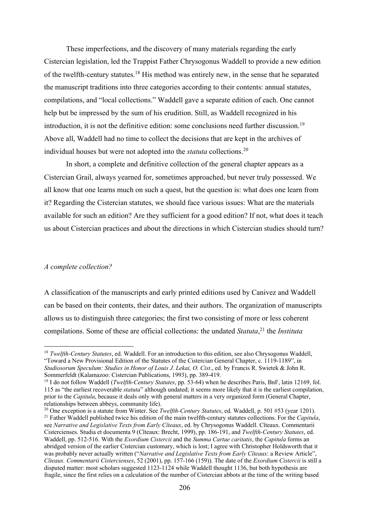These imperfections, and the discovery of many materials regarding the early Cistercian legislation, led the Trappist Father Chrysogonus Waddell to provide a new edition of the twelfth-century statutes.<sup>18</sup> His method was entirely new, in the sense that he separated the manuscript traditions into three categories according to their contents: annual statutes, compilations, and "local collections." Waddell gave a separate edition of each. One cannot help but be impressed by the sum of his erudition. Still, as Waddell recognized in his introduction, it is not the definitive edition: some conclusions need further discussion.<sup>19</sup> Above all, Waddell had no time to collect the decisions that are kept in the archives of individual houses but were not adopted into the *statuta* collections. 20

In short, a complete and definitive collection of the general chapter appears as a Cistercian Grail, always yearned for, sometimes approached, but never truly possessed. We all know that one learns much on such a quest, but the question is: what does one learn from it? Regarding the Cistercian statutes, we should face various issues: What are the materials available for such an edition? Are they sufficient for a good edition? If not, what does it teach us about Cistercian practices and about the directions in which Cistercian studies should turn?

#### *A complete collection?*

A classification of the manuscripts and early printed editions used by Canivez and Waddell can be based on their contents, their dates, and their authors. The organization of manuscripts allows us to distinguish three categories; the first two consisting of more or less coherent compilations. Some of these are official collections: the undated *Statuta*, <sup>21</sup> the *Instituta* 

<sup>18</sup> *Twelfth-Century Statutes*, ed. Waddell. For an introduction to this edition, see also Chrysogonus Waddell, "Toward a New Provisional Edition of the Statutes of the Cistercian General Chapter, c. 1119-1189", in *Studiosorum Speculum: Studies in Honor of Louis J. Lekai, O. Cist*., ed. by Francis R. Swietek & John R. Sommerfeldt (Kalamazoo: Cistercian Publications, 1993), pp. 389-419.

<sup>19</sup> I do not follow Waddell (*Twelfth-Century Statutes*, pp. 53-64) when he describes Paris, BnF, latin 12169, fol. 115 as "the earliest recoverable *statuta*" although undated; it seems more likely that it is the earliest compilation, prior to the *Capitula*, because it deals only with general matters in a very organized form (General Chapter, relationships between abbeys, community life).

<sup>&</sup>lt;sup>20</sup> One exception is a statute from Winter. See *Twelfth-Century Statutes*, ed. Waddell, p. 501 #53 (year 1201). <sup>21</sup> Father Waddell published twice his edition of the main twelfth-century statutes collections. For the *Capitula*, see *Narrative and Legislative Texts from Early Cîteaux*, ed. by Chrysogonus Waddell. Cîteaux. Commentarii Cistercienses. Studia et documenta 9 (Cîteaux: Brecht, 1999), pp. 186-191, and *Twelfth-Century Statutes*, ed. Waddell, pp. 512-516. With the *Exordium Cistercii* and the *Summa Cartae caritatis*, the *Capitula* forms an abridged version of the earlier Cistercian customary, which is lost; I agree with Christopher Holdsworth that it was probably never actually written ("*Narrative and Legislative Texts from Early Cîteaux*: a Review Article", *Cîteaux. Commentarii Cistercienses*, 52 (2001), pp. 157-166 (159)). The date of the *Exordium Cistercii* is still a disputed matter: most scholars suggested 1123-1124 while Waddell thought 1136, but both hypothesis are fragile, since the first relies on a calculation of the number of Cistercian abbots at the time of the writing based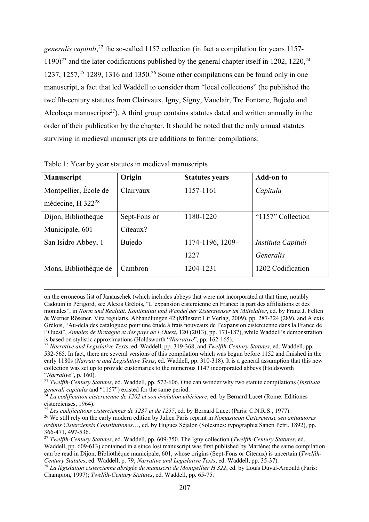*generalis capituli*, <sup>22</sup> the so-called 1157 collection (in fact a compilation for years 1157-  $1190)^{23}$  and the later codifications published by the general chapter itself in 1202, 1220,<sup>24</sup> 1237, 1257, $25$  1289, 1316 and 1350.<sup>26</sup> Some other compilations can be found only in one manuscript, a fact that led Waddell to consider them "local collections" (he published the twelfth-century statutes from Clairvaux, Igny, Signy, Vauclair, Tre Fontane, Bujedo and Alcobaça manuscripts<sup>27</sup>). A third group contains statutes dated and written annually in the order of their publication by the chapter. It should be noted that the only annual statutes surviving in medieval manuscripts are additions to former compilations:

| <b>Manuscript</b>             | Origin       | <b>Statutes years</b> | <b>Add-on to</b>   |
|-------------------------------|--------------|-----------------------|--------------------|
| Montpellier, École de         | Clairvaux    | 1157-1161             | Capitula           |
| médecine, H 322 <sup>28</sup> |              |                       |                    |
| Dijon, Bibliothèque           | Sept-Fons or | 1180-1220             | "1157" Collection  |
| Municipale, 601               | Cîteaux?     |                       |                    |
| San Isidro Abbey, 1           | Bujedo       | 1174-1196, 1209-      | Instituta Capituli |
|                               |              | 1227                  | Generalis          |
| Mons, Bibliothèque de         | Cambron      | 1204-1231             | 1202 Codification  |

Table 1: Year by year statutes in medieval manuscripts

on the erroneous list of Janauschek (which includes abbeys that were not incorporated at that time, notably Cadouin in Périgord, see Alexis Grélois, "L'expansion cistercienne en France: la part des affiliations et des moniales", in *Norm und Realität. Kontinuität und Wandel der Zisterzienser im Mittelalter*, ed. by Franz J. Felten & Werner Rösener. Vita regularis. Abhandlungen 42 (Münster: Lit Verlag, 2009), pp. 287-324 (289), and Alexis Grélois, "Au-delà des catalogues: pour une étude à frais nouveaux de l'expansion cistercienne dans la France de l'Ouest", *Annales de Bretagne et des pays de l'Ouest*, 120 (2013), pp. 171-187), while Waddell's demonstration is based on stylistic approximations (Holdsworth "*Narrative*", pp. 162-165).

<sup>22</sup> *Narrative and Legislative Texts*, ed. Waddell, pp. 319-368, and *Twelfth-Century Statutes*, ed. Waddell, pp. 532-565. In fact, there are several versions of this compilation which was begun before 1152 and finished in the early 1180s (*Narrative and Legislative Texts*, ed. Waddell, pp. 310-318). It is a general assumption that this new collection was set up to provide customaries to the numerous 1147 incorporated abbeys (Holdsworth "*Narrative*", p. 160).

<sup>23</sup> *Twelfth-Century Statutes*, ed. Waddell, pp. 572-606. One can wonder why two statute compilations (*Instituta generali capitulis* and "1157") existed for the same period.

<sup>25</sup> *Les codifications cisterciennes de 1237 et de 1257*, ed. by Bernard Lucet (Paris: C.N.R.S., 1977).

<sup>&</sup>lt;sup>24</sup> La codification cistercienne de 1202 et son évolution ultérieure, ed. by Bernard Lucet (Rome: Editiones cistercienses, 1964).

<sup>26</sup> We still rely on the early modern edition by Julien Paris reprint in *Nomasticon Cisterciense seu antiquiores ordinis Cisterciensis Constitutiones*…, ed. by Hugues Séjalon (Solesmes: typographia Sancti Petri, 1892), pp. 366-471, 497-536.

<sup>27</sup> *Twelfth-Century Statutes*, ed. Waddell, pp. 609-750. The Igny collection (*Twelfth-Century Statutes*, ed. Waddell, pp. 609-613) contained in a since lost manuscript was first published by Martène; the same compilation can be read in Dijon, Bibliothèque municipale, 601, whose origins (Sept-Fons or Cîteaux) is uncertain (*Twelfth-Century Statutes*, ed. Waddell, p. 79; *Narrative and Legislative Texts*, ed. Waddell, pp. 35-37).

<sup>28</sup> *La législation cistercienne abrégée du manuscrit de Montpellier H 322*, ed. by Louis Duval-Arnould (Paris: Champion, 1997); *Twelfth-Century Statutes*, ed. Waddell, pp. 65-75.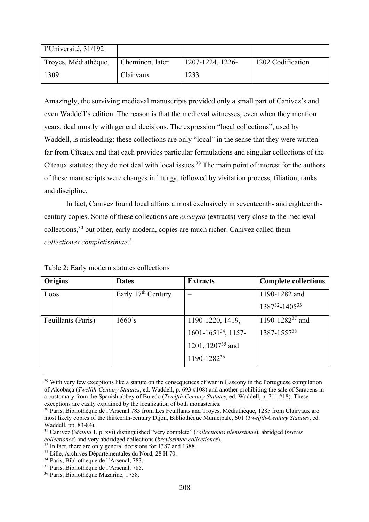| l'Université, $31/192$ |                 |                  |                   |
|------------------------|-----------------|------------------|-------------------|
| Troyes, Médiathèque,   | Cheminon, later | 1207-1224, 1226- | 1202 Codification |
| 1309                   | Clairvaux       | 1233             |                   |

Amazingly, the surviving medieval manuscripts provided only a small part of Canivez's and even Waddell's edition. The reason is that the medieval witnesses, even when they mention years, deal mostly with general decisions. The expression "local collections", used by Waddell, is misleading: these collections are only "local" in the sense that they were written far from Cîteaux and that each provides particular formulations and singular collections of the Cîteaux statutes; they do not deal with local issues.<sup>29</sup> The main point of interest for the authors of these manuscripts were changes in liturgy, followed by visitation process, filiation, ranks and discipline.

In fact, Canivez found local affairs almost exclusively in seventeenth- and eighteenthcentury copies. Some of these collections are *excerpta* (extracts) very close to the medieval collections, <sup>30</sup> but other, early modern, copies are much richer. Canivez called them *collectiones completissimae*. 31

| Origins            | <b>Dates</b>                   | <b>Extracts</b>                 | <b>Complete collections</b> |
|--------------------|--------------------------------|---------------------------------|-----------------------------|
| Loos               | Early 17 <sup>th</sup> Century | $\overline{\phantom{a}}$        | 1190-1282 and               |
|                    |                                |                                 | 138732-140533               |
| Feuillants (Paris) | 1660's                         | 1190-1220, 1419,                | 1190-1282 <sup>37</sup> and |
|                    |                                | 1601-1651 <sup>34</sup> , 1157- | 1387-155738                 |
|                    |                                | 1201, 1207 <sup>35</sup> and    |                             |
|                    |                                | 1190-128236                     |                             |

Table 2: Early modern statutes collections

<sup>&</sup>lt;sup>29</sup> With very few exceptions like a statute on the consequences of war in Gascony in the Portuguese compilation of Alcobaça (*Twelfth-Century Statutes*, ed. Waddell, p. 693 #108) and another prohibiting the sale of Saracens in a customary from the Spanish abbey of Bujedo (*Twelfth-Century Statutes*, ed. Waddell, p. 711 #18). These exceptions are easily explained by the localization of both monasteries.

<sup>30</sup> Paris, Bibliothèque de l'Arsenal 783 from Les Feuillants and Troyes, Médiathèque, 1285 from Clairvaux are most likely copies of the thirteenth-century Dijon, Bibliothèque Municipale, 601 (*Twelfth-Century Statutes*, ed. Waddell, pp. 83-84).

<sup>31</sup> Canivez (*Statuta* 1, p. xvi) distinguished "very complete" (*collectiones plenissimae*), abridged (*breves collectiones*) and very abdridged collections (*brevissimae collectiones*).

<sup>&</sup>lt;sup>32</sup> In fact, there are only general decisions for 1387 and 1388.

<sup>33</sup> Lille, Archives Départementales du Nord, 28 H 70.

<sup>34</sup> Paris, Bibliothèque de l'Arsenal, 783.

<sup>35</sup> Paris, Bibliothèque de l'Arsenal, 785.

<sup>36</sup> Paris, Bibliothèque Mazarine, 1758.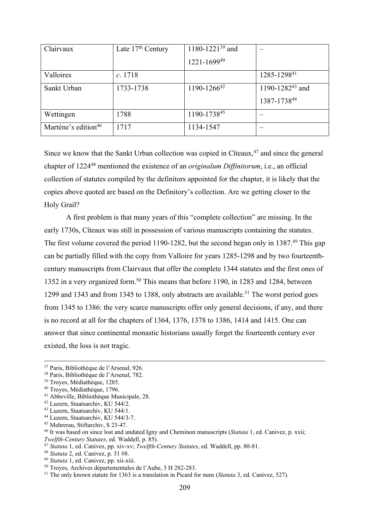| Clairvaux                       | Late $17th$ Century | 1180-1221 <sup>39</sup> and |                                            |
|---------------------------------|---------------------|-----------------------------|--------------------------------------------|
|                                 |                     | 1221-169940                 |                                            |
| Valloires                       | c. 1718             |                             | 1285-129841                                |
| Sankt Urban                     | 1733-1738           | 1190-1266 <sup>42</sup>     | 1190-1282 <sup>43</sup> and<br>1387-173844 |
| Wettingen                       | 1788                | 1190-173845                 |                                            |
| Martène's edition <sup>46</sup> | 1717                | 1134-1547                   |                                            |

Since we know that the Sankt Urban collection was copied in Cîteaux,  $47$  and since the general chapter of 122448 mentioned the existence of an *originalum Diffinitorum*, i.e., an official collection of statutes compiled by the definitors appointed for the chapter, it is likely that the copies above quoted are based on the Definitory's collection. Are we getting closer to the Holy Grail?

A first problem is that many years of this "complete collection" are missing. In the early 1730s, Cîteaux was still in possession of various manuscripts containing the statutes. The first volume covered the period 1190-1282, but the second began only in 1387.<sup>49</sup> This gap can be partially filled with the copy from Valloire for years 1285-1298 and by two fourteenthcentury manuscripts from Clairvaux that offer the complete 1344 statutes and the first ones of 1352 in a very organized form.50 This means that before 1190, in 1283 and 1284, between 1299 and 1343 and from 1345 to 1388, only abstracts are available.<sup>51</sup> The worst period goes from 1345 to 1386: the very scarce manuscripts offer only general decisions, if any, and there is no record at all for the chapters of 1364, 1376, 1378 to 1386, 1414 and 1415. One can answer that since continental monastic historians usually forget the fourteenth century ever existed, the loss is not tragic.

- <sup>47</sup> *Statuta* 1, ed. Canivez, pp. xiv-xv; *Twelfth-Century Statutes*, ed. Waddell, pp. 80-81.
- <sup>48</sup> *Statuta* 2, ed. Canivez, p. 31 #8.
- <sup>49</sup> *Statuta* 1, ed. Canivez, pp. xii-xiii.

<sup>37</sup> Paris, Bibliothèque de l'Arsenal, 926.

<sup>38</sup> Paris, Bibliothèque de l'Arsenal, 782.

<sup>39</sup> Troyes, Médiathèque, 1285.

<sup>40</sup> Troyes, Médiathèque, 1796.

<sup>41</sup> Abbeville, Bibliothèque Municipale, 28.

<sup>42</sup> Luzern, Staatsarchiv, KU 544/2.

<sup>43</sup> Luzern, Staatsarchiv, KU 544/1.

<sup>44</sup> Luzern, Staatsarchiv, KU 544/3-7.

<sup>45</sup> Mehrerau, Stiftarchiv, S 23-47.

<sup>46</sup> It was based on since lost and undated Igny and Cheminon manuscripts (*Statuta* 1, ed. Canivez, p. xxii; *Twelfth-Century Statutes*, ed. Waddell, p. 85).

<sup>50</sup> Troyes, Archives départementales de l'Aube, 3 H 282-283.

<sup>51</sup> The only known statute for 1363 is a translation in Picard for nuns (*Statuta* 3, ed. Canivez, 527).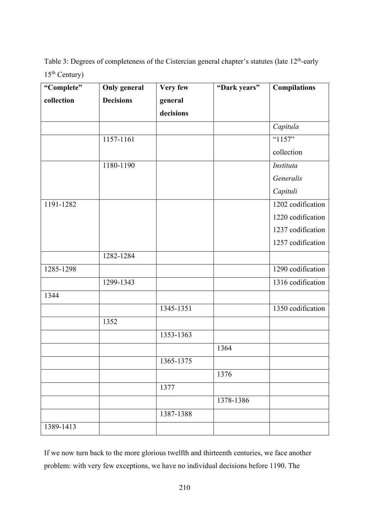Table 3: Degrees of completeness of the Cistercian general chapter's statutes (late 12<sup>th</sup>-early 15th Century)

| "Complete" | <b>Only general</b> | Very few  | "Dark years" | <b>Compilations</b> |
|------------|---------------------|-----------|--------------|---------------------|
| collection | <b>Decisions</b>    | general   |              |                     |
|            |                     | decisions |              |                     |
|            |                     |           |              | Capitula            |
|            | 1157-1161           |           |              | "1157"              |
|            |                     |           |              | collection          |
|            | 1180-1190           |           |              | Instituta           |
|            |                     |           |              | Generalis           |
|            |                     |           |              | Capituli            |
| 1191-1282  |                     |           |              | 1202 codification   |
|            |                     |           |              | 1220 codification   |
|            |                     |           |              | 1237 codification   |
|            |                     |           |              | 1257 codification   |
|            | 1282-1284           |           |              |                     |
| 1285-1298  |                     |           |              | 1290 codification   |
|            | 1299-1343           |           |              | 1316 codification   |
| 1344       |                     |           |              |                     |
|            |                     | 1345-1351 |              | 1350 codification   |
|            | 1352                |           |              |                     |
|            |                     | 1353-1363 |              |                     |
|            |                     |           | 1364         |                     |
|            |                     | 1365-1375 |              |                     |
|            |                     |           | 1376         |                     |
|            |                     | 1377      |              |                     |
|            |                     |           | 1378-1386    |                     |
|            |                     | 1387-1388 |              |                     |
| 1389-1413  |                     |           |              |                     |

If we now turn back to the more glorious twelfth and thirteenth centuries, we face another problem: with very few exceptions, we have no individual decisions before 1190. The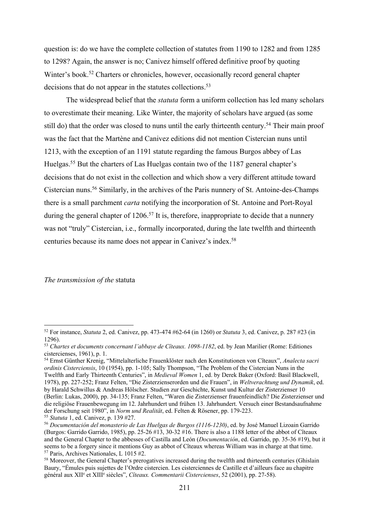question is: do we have the complete collection of statutes from 1190 to 1282 and from 1285 to 1298? Again, the answer is no; Canivez himself offered definitive proof by quoting Winter's book.<sup>52</sup> Charters or chronicles, however, occasionally record general chapter decisions that do not appear in the statutes collections.<sup>53</sup>

The widespread belief that the *statuta* form a uniform collection has led many scholars to overestimate their meaning. Like Winter, the majority of scholars have argued (as some still do) that the order was closed to nuns until the early thirteenth century.<sup>54</sup> Their main proof was the fact that the Martène and Canivez editions did not mention Cistercian nuns until 1213, with the exception of an 1191 statute regarding the famous Burgos abbey of Las Huelgas.55 But the charters of Las Huelgas contain two of the 1187 general chapter's decisions that do not exist in the collection and which show a very different attitude toward Cistercian nuns.56 Similarly, in the archives of the Paris nunnery of St. Antoine-des-Champs there is a small parchment *carta* notifying the incorporation of St. Antoine and Port-Royal during the general chapter of  $1206$ <sup>57</sup> It is, therefore, inappropriate to decide that a nunnery was not "truly" Cistercian, i.e., formally incorporated, during the late twelfth and thirteenth centuries because its name does not appear in Canivez's index.58

#### *The transmission of the* statuta

<sup>52</sup> For instance, *Statuta* 2, ed. Canivez, pp. 473-474 #62-64 (in 1260) or *Statuta* 3, ed. Canivez, p. 287 #23 (in 1296).

<sup>53</sup> *Chartes et documents concernant l'abbaye de Cîteaux. 1098-1182*, ed. by Jean Marilier (Rome: Editiones cistercienses, 1961), p. 1.

<sup>54</sup> Ernst Günther Krenig, "Mittelalterliche Frauenklöster nach den Konstitutionen von Cîteaux", *Analecta sacri ordinis Cisterciensis*, 10 (1954), pp. 1-105; Sally Thompson, "The Problem of the Cistercian Nuns in the Twelfth and Early Thirteenth Centuries", in *Medieval Women* 1, ed. by Derek Baker (Oxford: Basil Blackwell, 1978), pp. 227-252; Franz Felten, "Die Zisterzienserorden und die Frauen", in *Weltverachtung und Dynamik*, ed. by Harald Schwillus & Andreas Hölscher. Studien zur Geschichte, Kunst und Kultur der Zisterzienser 10 (Berlin: Lukas, 2000), pp. 34-135; Franz Felten, "Waren die Zisterzienser frauenfeindlich? Die Zisterzienser und die religiöse Frauenbewegung im 12. Jahrhundert und frühen 13. Jahrhundert. Versuch einer Bestandsaufnahme der Forschung seit 1980", in *Norm und Realität*, ed. Felten & Rösener, pp. 179-223.

<sup>55</sup> *Statuta* 1, ed. Canivez, p. 139 #27.

<sup>56</sup> *Documentación del monasterio de Las Huelgas de Burgos (1116-1230)*, ed. by José Manuel Lizoain Garrido (Burgos: Garrido Garrido, 1985), pp. 25-26 #13, 30-32 #16. There is also a 1188 letter of the abbot of Cîteaux and the General Chapter to the abbesses of Castilla and León (*Documentación*, ed. Garrido, pp. 35-36 #19), but it seems to be a forgery since it mentions Guy as abbot of Cîteaux whereas William was in charge at that time. <sup>57</sup> Paris, Archives Nationales, L 1015 #2.

<sup>&</sup>lt;sup>58</sup> Moreover, the General Chapter's prerogatives increased during the twelfth and thirteenth centuries (Ghislain Baury, "Émules puis sujettes de l'Ordre cistercien. Les cisterciennes de Castille et d'ailleurs face au chapitre général aux XIIe et XIIIe siècles", *Cîteaux. Commentarii Cistercienses*, 52 (2001), pp. 27-58).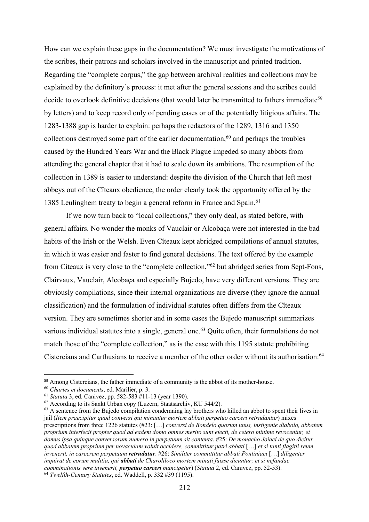How can we explain these gaps in the documentation? We must investigate the motivations of the scribes, their patrons and scholars involved in the manuscript and printed tradition. Regarding the "complete corpus," the gap between archival realities and collections may be explained by the definitory's process: it met after the general sessions and the scribes could decide to overlook definitive decisions (that would later be transmitted to fathers immediate<sup>59</sup> by letters) and to keep record only of pending cases or of the potentially litigious affairs. The 1283-1388 gap is harder to explain: perhaps the redactors of the 1289, 1316 and 1350 collections destroyed some part of the earlier documentation,<sup>60</sup> and perhaps the troubles caused by the Hundred Years War and the Black Plague impeded so many abbots from attending the general chapter that it had to scale down its ambitions. The resumption of the collection in 1389 is easier to understand: despite the division of the Church that left most abbeys out of the Cîteaux obedience, the order clearly took the opportunity offered by the 1385 Leulinghem treaty to begin a general reform in France and Spain.61

If we now turn back to "local collections," they only deal, as stated before, with general affairs. No wonder the monks of Vauclair or Alcobaça were not interested in the bad habits of the Irish or the Welsh. Even Cîteaux kept abridged compilations of annual statutes, in which it was easier and faster to find general decisions. The text offered by the example from Cîteaux is very close to the "complete collection,"62 but abridged series from Sept-Fons, Clairvaux, Vauclair, Alcobaça and especially Bujedo, have very different versions. They are obviously compilations, since their internal organizations are diverse (they ignore the annual classification) and the formulation of individual statutes often differs from the Cîteaux version. They are sometimes shorter and in some cases the Bujedo manuscript summarizes various individual statutes into a single, general one.<sup>63</sup> Quite often, their formulations do not match those of the "complete collection," as is the case with this 1195 statute prohibiting Cistercians and Carthusians to receive a member of the other order without its authorisation:  $64$ 

<sup>&</sup>lt;sup>59</sup> Among Cistercians, the father immediate of a community is the abbot of its mother-house.

<sup>60</sup> *Chartes et documents*, ed. Marilier, p. 3.

<sup>61</sup> *Statuta* 3, ed. Canivez, pp. 582-583 #11-13 (year 1390).

 $62$  According to its Sankt Urban copy (Luzern, Staatsarchiv, KU 544/2).

<sup>&</sup>lt;sup>63</sup> A sentence from the Bujedo compilation condemning lay brothers who killed an abbot to spent their lives in jail (*Item praecipitur quod conversi qui minantur mortem abbati perpetuo carceri retrudantur*) mixes prescriptions from three 1226 statutes (#23: […] *conversi de Bondelo quorum unus, instigente diabolo, abbatem proprium interfecit propter quod ad eadem domo omnes merito sunt eiecti, de cetero minime revocentur, et domus ipsa quinque conversorum numero in perpetuum sit contenta*. #25: *De monacho Joiaci de quo dicitur quod abbatem proprium per novaculam voluit occidere, committitur patri abbati* […] *et si tanti flagitii reum invenerit, in carcerem perpetuum retrudatur*. #26: *Similiter committitur abbati Pontiniaci* […] *diligenter inquirat de eorum malitia, qui abbati de Charoliloco mortem minati fuisse dicuntur; et si nefandae comminationis vere invenerit, perpetuo carceri mancipetur*) (*Statuta* 2, ed. Canivez, pp. 52-53). <sup>64</sup> *Twelfth-Century Statutes*, ed. Waddell, p. 332 #39 (1195).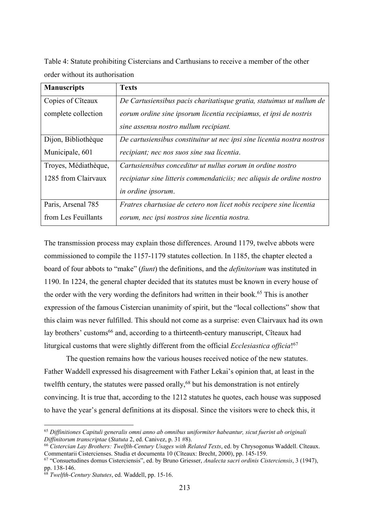Table 4: Statute prohibiting Cistercians and Carthusians to receive a member of the other order without its authorisation

| <b>Manuscripts</b>   | <b>Texts</b>                                                            |
|----------------------|-------------------------------------------------------------------------|
| Copies of Cîteaux    | De Cartusiensibus pacis charitatisque gratia, statuimus ut nullum de    |
| complete collection  | eorum ordine sine ipsorum licentia recipiamus, et ipsi de nostris       |
|                      | sine assensu nostro nullum recipiant.                                   |
| Dijon, Bibliothèque  | De cartusiensibus constituitur ut nec ipsi sine licentia nostra nostros |
| Municipale, 601      | recipiant; nec nos suos sine sua licentia.                              |
| Troyes, Médiathèque, | Cartusiensibus conceditur ut nullus eorum in ordine nostro              |
| 1285 from Clairvaux  | recipiatur sine litteris commendaticiis; nec aliquis de ordine nostro   |
|                      | <i>in ordine ipsorum.</i>                                               |
| Paris, Arsenal 785   | Fratres chartusiae de cetero non licet nobis recipere sine licentia     |
| from Les Feuillants  | eorum, nec ipsi nostros sine licentia nostra.                           |

The transmission process may explain those differences. Around 1179, twelve abbots were commissioned to compile the 1157-1179 statutes collection. In 1185, the chapter elected a board of four abbots to "make" (*fiunt*) the definitions, and the *definitorium* was instituted in 1190. In 1224, the general chapter decided that its statutes must be known in every house of the order with the very wording the definitors had written in their book.<sup>65</sup> This is another expression of the famous Cistercian unanimity of spirit, but the "local collections" show that this claim was never fulfilled. This should not come as a surprise: even Clairvaux had its own lay brothers' customs<sup>66</sup> and, according to a thirteenth-century manuscript, Cîteaux had liturgical customs that were slightly different from the official *Ecclesiastica officia*! 67

The question remains how the various houses received notice of the new statutes. Father Waddell expressed his disagreement with Father Lekai's opinion that, at least in the twelfth century, the statutes were passed orally,  $68$  but his demonstration is not entirely convincing. It is true that, according to the 1212 statutes he quotes, each house was supposed to have the year's general definitions at its disposal. Since the visitors were to check this, it

<sup>65</sup> *Diffinitiones Capituli generalis omni anno ab omnibus uniformiter habeantur, sicut fuerint ab originali Diffinitorum transcriptae* (*Statuta* 2, ed. Canivez, p. 31 #8).

<sup>66</sup> *Cistercian Lay Brothers: Twelfth-Century Usages with Related Texts*, ed. by Chrysogonus Waddell. Cîteaux. Commentarii Cistercienses. Studia et documenta 10 (Cîteaux: Brecht, 2000), pp. 145-159.

<sup>67</sup> "Consuetudines domus Cisterciensis", ed. by Bruno Griesser, *Analecta sacri ordinis Cisterciensis*, 3 (1947), pp. 138-146.

<sup>68</sup> *Twelfth-Century Statutes*, ed. Waddell, pp. 15-16.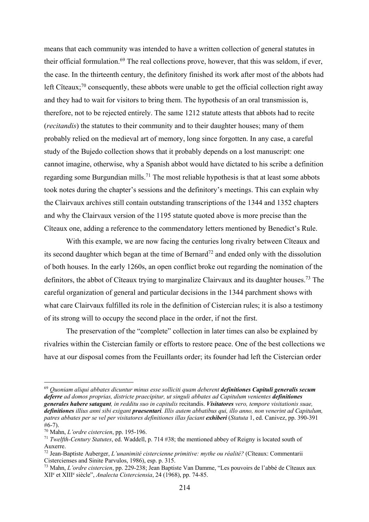means that each community was intended to have a written collection of general statutes in their official formulation.69 The real collections prove, however, that this was seldom, if ever, the case. In the thirteenth century, the definitory finished its work after most of the abbots had left Cîteaux;<sup>70</sup> consequently, these abbots were unable to get the official collection right away and they had to wait for visitors to bring them. The hypothesis of an oral transmission is, therefore, not to be rejected entirely. The same 1212 statute attests that abbots had to recite (*recitandis*) the statutes to their community and to their daughter houses; many of them probably relied on the medieval art of memory, long since forgotten. In any case, a careful study of the Bujedo collection shows that it probably depends on a lost manuscript: one cannot imagine, otherwise, why a Spanish abbot would have dictated to his scribe a definition regarding some Burgundian mills.<sup>71</sup> The most reliable hypothesis is that at least some abbots took notes during the chapter's sessions and the definitory's meetings. This can explain why the Clairvaux archives still contain outstanding transcriptions of the 1344 and 1352 chapters and why the Clairvaux version of the 1195 statute quoted above is more precise than the Cîteaux one, adding a reference to the commendatory letters mentioned by Benedict's Rule.

With this example, we are now facing the centuries long rivalry between Cîteaux and its second daughter which began at the time of Bernard<sup>72</sup> and ended only with the dissolution of both houses. In the early 1260s, an open conflict broke out regarding the nomination of the definitors, the abbot of Cîteaux trying to marginalize Clairvaux and its daughter houses.<sup>73</sup> The careful organization of general and particular decisions in the 1344 parchment shows with what care Clairvaux fulfilled its role in the definition of Cistercian rules; it is also a testimony of its strong will to occupy the second place in the order, if not the first.

The preservation of the "complete" collection in later times can also be explained by rivalries within the Cistercian family or efforts to restore peace. One of the best collections we have at our disposal comes from the Feuillants order; its founder had left the Cistercian order

<sup>69</sup> *Quoniam aliqui abbates dicuntur minus esse solliciti quam deberent definitiones Capituli generalis secum deferre ad domos proprias, districte praecipitur, ut singuli abbates ad Capitulum venientes definitiones generales habere satagant, in redditu suo in capitulis* recitandis. *Visitatores vero, tempore visitationis suae, definitiones illius anni sibi exigant praesentari. Illis autem abbatibus qui, illo anno, non venerint ad Capitulum, patres abbates per se vel per visitatores definitiones illas faciant exhiberi* (*Statuta* 1, ed. Canivez, pp. 390-391 #6-7). 70 Mahn, *L'ordre cistercien*, pp. 195-196.

<sup>71</sup> *Twelfth-Century Statutes*, ed. Waddell, p. 714 #38; the mentioned abbey of Reigny is located south of Auxerre.

<sup>72</sup> Jean-Baptiste Auberger, *L'unanimité cistercienne primitive: mythe ou réalité?* (Cîteaux: Commentarii Cistercienses and Sinite Parvulos, 1986), esp. p. 315.

<sup>73</sup> Mahn, *L'ordre cistercien*, pp. 229-238; Jean Baptiste Van Damme, "Les pouvoirs de l'abbé de Cîteaux aux XIIe et XIIIe siècle", *Analecta Cisterciensia*, 24 (1968), pp. 74-85.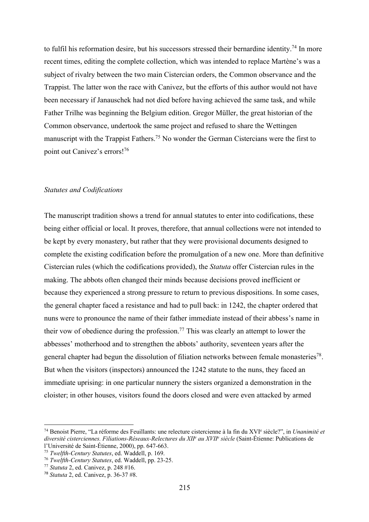to fulfil his reformation desire, but his successors stressed their bernardine identity.<sup>74</sup> In more recent times, editing the complete collection, which was intended to replace Martène's was a subject of rivalry between the two main Cistercian orders, the Common observance and the Trappist. The latter won the race with Canivez, but the efforts of this author would not have been necessary if Janauschek had not died before having achieved the same task, and while Father Trilhe was beginning the Belgium edition. Gregor Müller, the great historian of the Common observance, undertook the same project and refused to share the Wettingen manuscript with the Trappist Fathers.75 No wonder the German Cistercians were the first to point out Canivez's errors!76

#### *Statutes and Codifications*

The manuscript tradition shows a trend for annual statutes to enter into codifications, these being either official or local. It proves, therefore, that annual collections were not intended to be kept by every monastery, but rather that they were provisional documents designed to complete the existing codification before the promulgation of a new one. More than definitive Cistercian rules (which the codifications provided), the *Statuta* offer Cistercian rules in the making. The abbots often changed their minds because decisions proved inefficient or because they experienced a strong pressure to return to previous dispositions. In some cases, the general chapter faced a resistance and had to pull back: in 1242, the chapter ordered that nuns were to pronounce the name of their father immediate instead of their abbess's name in their vow of obedience during the profession.<sup>77</sup> This was clearly an attempt to lower the abbesses' motherhood and to strengthen the abbots' authority, seventeen years after the general chapter had begun the dissolution of filiation networks between female monasteries<sup>78</sup>. But when the visitors (inspectors) announced the 1242 statute to the nuns, they faced an immediate uprising: in one particular nunnery the sisters organized a demonstration in the cloister; in other houses, visitors found the doors closed and were even attacked by armed

<sup>74</sup> Benoist Pierre, "La réforme des Feuillants: une relecture cistercienne à la fin du XVIe siècle?", in *Unanimité et diversité cisterciennes. Filiations-Réseaux-Relectures du XIIe au XVIIe siècle* (Saint-Étienne: Publications de l'Université de Saint-Étienne, 2000), pp. 647-663.

<sup>75</sup> *Twelfth-Century Statutes*, ed. Waddell, p. 169.

<sup>76</sup> *Twelfth-Century Statutes*, ed. Waddell, pp. 23-25.

<sup>77</sup> *Statuta* 2, ed. Canivez, p. 248 #16.

<sup>78</sup> *Statuta* 2, ed. Canivez, p. 36-37 #8.